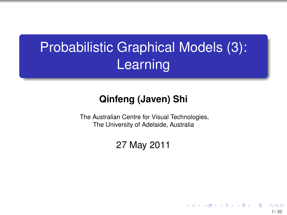# Probabilistic Graphical Models (3): Learning

#### **Qinfeng (Javen) Shi**

The Australian Centre for Visual Technologies, The University of Adelaide, Australia

27 May 2011

**1 / 30**

イロト イ押 トイヨ トイヨト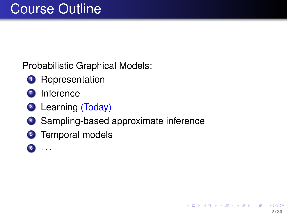Probabilistic Graphical Models:

- **<sup>1</sup>** Representation
- **<sup>2</sup>** Inference
- **<sup>3</sup>** Learning (Today)
- **<sup>4</sup>** Sampling-based approximate inference
- **<sup>5</sup>** Temporal models
- **<sup>6</sup>** · · ·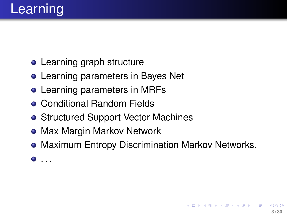- Learning graph structure
- **Learning parameters in Bayes Net**
- Learning parameters in MRFs
- **Conditional Random Fields**
- Structured Support Vector Machines
- **Max Margin Markov Network**
- **Maximum Entropy Discrimination Markov Networks.**
- $\bullet$  . . .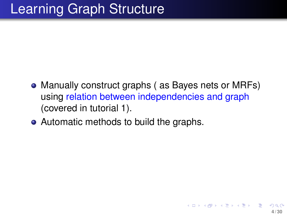- Manually construct graphs ( as Bayes nets or MRFs) using relation between independencies and graph (covered in tutorial 1).
- Automatic methods to build the graphs.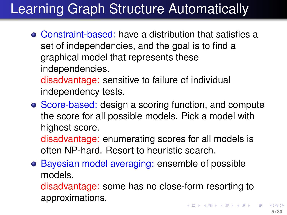# Learning Graph Structure Automatically

Constraint-based: have a distribution that satisfies a set of independencies, and the goal is to find a graphical model that represents these independencies.

disadvantage: sensitive to failure of individual independency tests.

• Score-based: design a scoring function, and compute the score for all possible models. Pick a model with highest score.

disadvantage: enumerating scores for all models is often NP-hard. Resort to heuristic search.

Bayesian model averaging: ensemble of possible models.

disadvantage: some has no close-form resorting to approximations.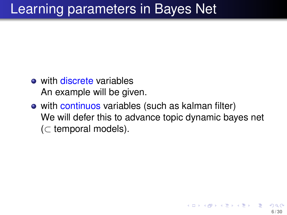### Learning parameters in Bayes Net

- with discrete variables An example will be given.
- with continuos variables (such as kalman filter) We will defer this to advance topic dynamic bayes net (⊂ temporal models).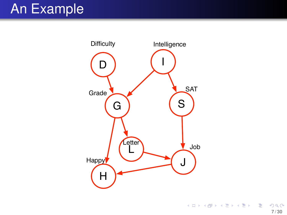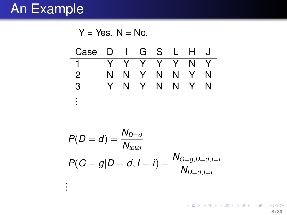. . .

Y = Yes. N = No. Case D I G S L H J 1 Y Y Y Y Y N Y 2 N N Y N N Y N 3 Y N Y N N Y N . . .

$$
P(D = d) = \frac{N_{D=d}}{N_{total}}
$$
  
 
$$
P(G = g|D = d, I = i) = \frac{N_{G=g, D=d, I=i}}{N_{D=d, I=i}}
$$

メロメメ 御 メメ きょくきょう 重  $299$ **8 / 30**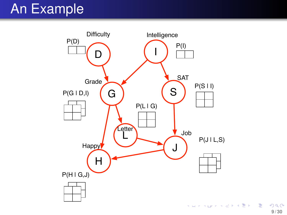

 $290$ **9 / 30**

活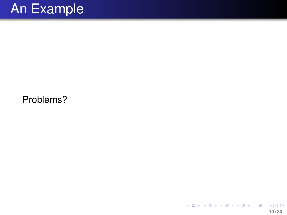Problems?

メロメメ 御きメ 重き メ 重き 一重  $299$ **10 / 30**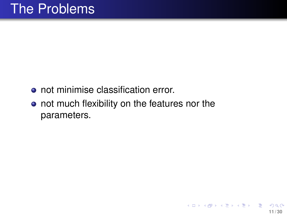- not minimise classification error.
- not much flexibility on the features nor the parameters.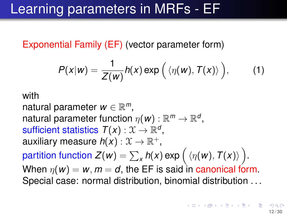### Learning parameters in MRFs - EF

Exponential Family (EF) (vector parameter form)

$$
P(x|w) = \frac{1}{Z(w)} h(x) \exp\left(\langle \eta(w), T(x) \rangle\right), \qquad (1)
$$

#### with

natural parameter  $w \in \mathbb{R}^m$ , natural parameter function  $\eta(\textbf{\textit{w}}): \mathbb{R}^m \rightarrow \mathbb{R}^d,$ sufficient statistics  $\mathcal{T}(x): \mathcal{X} \to \mathbb{R}^d$ , auxiliary measure  $h(x): \mathfrak{X} \to \mathbb{R}^+,$  $\textsf{partition function}\;Z(\pmb{\mathsf{w}}) = \sum_{\pmb{\mathsf{x}}} h(\pmb{\mathsf{x}})\exp\Big(\;\langle \eta(\pmb{\mathsf{w}}),\pmb{\mathsf{T}}(\pmb{\mathsf{x}})\rangle\,\Big).$ When  $\eta(w) = w$ ,  $m = d$ , the EF is said in canonical form. Special case: normal distribution, binomial distribution . . .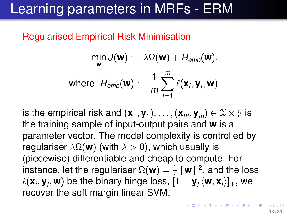### Learning parameters in MRFs - ERM

#### Regularised Empirical Risk Minimisation

$$
\min_{\mathbf{w}} J(\mathbf{w}) := \lambda \Omega(\mathbf{w}) + R_{emp}(\mathbf{w}),
$$
  
where  $R_{emp}(\mathbf{w}) := \frac{1}{m} \sum_{i=1}^{m} \ell(\mathbf{x}_i, \mathbf{y}_i, \mathbf{w})$ 

is the empirical risk and  $(\mathbf{x}_1, \mathbf{y}_1), \ldots, (\mathbf{x}_m, \mathbf{y}_m) \in \mathcal{X} \times \mathcal{Y}$  is the training sample of input-output pairs and **w** is a parameter vector. The model complexity is controlled by regulariser  $λΩ$ (**w**) (with  $λ > 0$ ), which usually is (piecewise) differentiable and cheap to compute. For instance, let the regulariser  $\Omega(\mathbf{w}) = \frac{1}{2} ||\mathbf{w}||^2$ , and the loss  $\ell(\mathbf{x}_i, \mathbf{y}_i, \mathbf{w})$  be the binary hinge loss,  $[\mathbf{1} - \mathbf{y}_i\braket{\mathbf{w}, \mathbf{x}_i}]_+,$  we recover the soft margin linear SVM.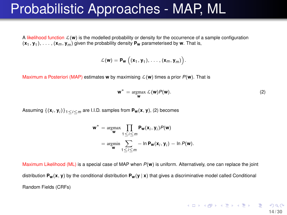#### Probabilistic Approaches - MAP, ML

A likelihood function  $\mathcal{L}(\mathbf{w})$  is the modelled probability or density for the occurrence of a sample configuration  $(\mathbf{x}_1, \mathbf{y}_1), \ldots, (\mathbf{x}_m, \mathbf{y}_m)$  given the probability density  $\mathbf{P_w}$  parameterised by  $\mathbf{w}$ . That is,

 $\mathcal{L}(\mathbf{w}) = \mathbf{P_w} \left( (\mathbf{x}_1, \mathbf{y}_1), \ldots, (\mathbf{x}_m, \mathbf{y}_m) \right).$ 

Maximum a Posteriori (MAP) estimates **w** by maximising L(**w**) times a prior *P*(**w**). That is

<span id="page-13-0"></span>
$$
\mathbf{w}^* = \underset{\mathbf{w}}{\operatorname{argmax}} \ \mathcal{L}(\mathbf{w}) P(\mathbf{w}). \tag{2}
$$

Assuming {(**x***<sup>i</sup>* , **y***<sup>i</sup>* )}1≤*i*≤*<sup>m</sup>* are I.I.D. samples from **Pw**(**x**, **y**), [\(2\)](#page-13-0) becomes

$$
\mathbf{w}^* = \underset{\mathbf{w}}{\operatorname{argmax}} \prod_{1 \le i \le m} \mathbf{P}_{\mathbf{w}}(\mathbf{x}_i, \mathbf{y}_i) P(\mathbf{w})
$$

$$
= \underset{\mathbf{w}}{\operatorname{argmin}} \sum_{1 \le i \le m} -\ln \mathbf{P}_{\mathbf{w}}(\mathbf{x}_i, \mathbf{y}_i) - \ln P(\mathbf{w}).
$$

Maximum Likelihood (ML) is a special case of MAP when *P*(**w**) is uniform. Alternatively, one can replace the joint distribution  $P_w(x, y)$  by the conditional distribution  $P_w(y | x)$  that gives a discriminative model called Conditional Random Fields (CRFs)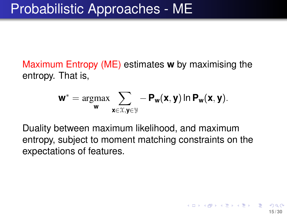Maximum Entropy (ME) estimates **w** by maximising the entropy. That is,

<span id="page-14-0"></span>
$$
\boldsymbol{w}^* = \underset{\boldsymbol{w}}{\operatorname{argmax}} \sum_{\boldsymbol{x} \in \mathcal{X}, \boldsymbol{y} \in \mathcal{Y}} - \boldsymbol{P}_{\boldsymbol{w}}(\boldsymbol{x}, \boldsymbol{y}) \ln \boldsymbol{P}_{\boldsymbol{w}}(\boldsymbol{x}, \boldsymbol{y}).
$$

Duality between maximum likelihood, and maximum entropy, subject to moment matching constraints on the expectations of features.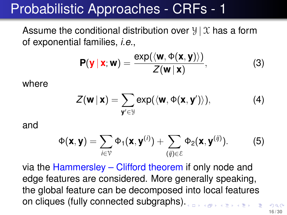Assume the conditional distribution over  $\mathcal{Y} \mid \mathcal{X}$  has a form of exponential families, *i.e.*,

$$
P(y | x; w) = \frac{\exp(\langle w, \Phi(x, y) \rangle)}{Z(w | x)},
$$
 (3)

where

$$
Z(\mathbf{w} \mid \mathbf{x}) = \sum_{\mathbf{y}' \in \mathcal{Y}} \exp(\langle \mathbf{w}, \Phi(\mathbf{x}, \mathbf{y}') \rangle), \tag{4}
$$

and

<span id="page-15-0"></span>
$$
\Phi(\mathbf{x}, \mathbf{y}) = \sum_{i \in \mathcal{V}} \Phi_1(\mathbf{x}, \mathbf{y}^{(i)}) + \sum_{(ij) \in \mathcal{E}} \Phi_2(\mathbf{x}, \mathbf{y}^{(ij)}).
$$
 (5)

via the Hammersley – Clifford theorem if only node and edge features are considered. More generally speaking, the global feature can be decomposed into local features on cliques (fully connected subgraphs)[.](#page-14-0)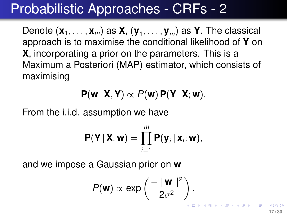Denote  $(\mathbf{x}_1, \ldots, \mathbf{x}_m)$  as  $\mathbf{X}, (\mathbf{y}_1, \ldots, \mathbf{y}_m)$  as  $\mathbf{Y}.$  The classical approach is to maximise the conditional likelihood of **Y** on **X**, incorporating a prior on the parameters. This is a Maximum a Posteriori (MAP) estimator, which consists of maximising

 $P(w | X, Y) \propto P(w) P(Y | X; w)$ .

From the i.i.d. assumption we have

$$
P(Y | X; w) = \prod_{i=1}^m P(y_i | x_i; w),
$$

and we impose a Gaussian prior on **w**

$$
P(\mathbf{w}) \propto \exp\left(\frac{-||\mathbf{w}||^2}{2\sigma^2}\right).
$$

**17 / 30**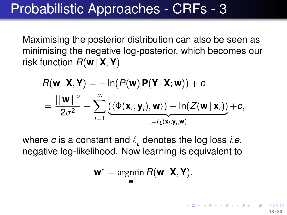Maximising the posterior distribution can also be seen as minimising the negative log-posterior, which becomes our risk function *R*(**w** | **X**,**Y**)

$$
R(\mathbf{w} | \mathbf{X}, \mathbf{Y}) = -\ln(P(\mathbf{w}) \mathbf{P}(\mathbf{Y} | \mathbf{X}; \mathbf{w})) + c
$$
  
= 
$$
\frac{||\mathbf{w}||^2}{2\sigma^2} - \sum_{i=1}^m \underbrace{(\langle \Phi(\mathbf{x}_i, \mathbf{y}_i), \mathbf{w} \rangle) - \ln(Z(\mathbf{w} | \mathbf{x}_i))}_{:= \ell_L(\mathbf{x}_i, \mathbf{y}_i, \mathbf{w})} + c,
$$

where  $c$  is a constant and  $\ell$ , denotes the log loss *i.e.* negative log-likelihood. Now learning is equivalent to

$$
\mathbf{w}^* = \operatorname*{argmin}_{\mathbf{w}} R(\mathbf{w} | \mathbf{X}, \mathbf{Y}).
$$

**18 / 30**

K ロ ▶ K 個 ▶ K 君 ▶ K 君 ▶ ○ 君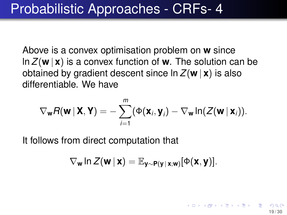Above is a convex optimisation problem on **w** since In  $Z(\mathbf{w} | \mathbf{x})$  is a convex function of **w**. The solution can be obtained by gradient descent since  $\ln Z(\mathbf{w} | \mathbf{x})$  is also differentiable. We have

$$
\nabla_{\mathbf{w}}R(\mathbf{w} \mid \mathbf{X}, \mathbf{Y}) = -\sum_{i=1}^{m} (\Phi(\mathbf{x}_i, \mathbf{y}_i) - \nabla_{\mathbf{w}} \ln(Z(\mathbf{w} \mid \mathbf{x}_i)).
$$

It follows from direct computation that

$$
\nabla_{\mathbf{w}} \ln Z(\mathbf{w} \,|\, \mathbf{x}) = \mathbb{E}_{\mathbf{y} \sim \mathbf{P}(\mathbf{y} \,|\, \mathbf{x}; \mathbf{w})} [\Phi(\mathbf{x}, \mathbf{y})].
$$

**19 / 30**

 $\left\{ \begin{array}{ccc} \square & \times & \overline{c} & \overline{c} & \rightarrow & \times & \overline{c} & \rightarrow & \overline{c} & \rightarrow & \overline{c} & \rightarrow & \overline{c} & \rightarrow & \overline{c} & \rightarrow & \overline{c} & \rightarrow & \overline{c} & \rightarrow & \overline{c} & \rightarrow & \overline{c} & \rightarrow & \overline{c} & \rightarrow & \overline{c} & \rightarrow & \overline{c} & \rightarrow & \overline{c} & \rightarrow & \overline{c} & \rightarrow & \overline{c} & \rightarrow & \overline{c} & \rightarrow & \overline{c} & \rightarrow & \overline{c} & \rightarrow & \overline$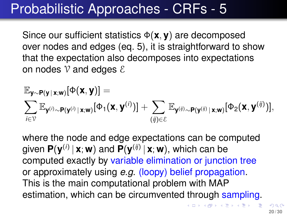Since our sufficient statistics Φ(**x**, **y**) are decomposed over nodes and edges (eq. [5\)](#page-15-0), it is straightforward to show that the expectation also decomposes into expectations on nodes  $\mathcal V$  and edges  $\mathcal E$ 

$$
\mathbb{E}_{\mathbf{y}\sim\mathbf{P}(\mathbf{y} \,|\, \mathbf{x};\mathbf{w})}[\Phi(\mathbf{x},\mathbf{y})] = \\ \sum_{i\in\mathcal{V}} \mathbb{E}_{\mathbf{y}^{(i)}\sim\mathbf{P}(\mathbf{y}^{(i)} \,|\, \mathbf{x};\mathbf{w})}[\Phi_1(\mathbf{x},\mathbf{y}^{(i)})] + \sum_{(ij)\in\mathcal{E}} \mathbb{E}_{\mathbf{y}^{(ij)}\sim\mathbf{P}(\mathbf{y}^{(ij)} \,|\, \mathbf{x};\mathbf{w})}[\Phi_2(\mathbf{x},\mathbf{y}^{(ij)})],
$$

where the node and edge expectations can be computed given **P**(**y** (*i*) | **x**; **w**) and **P**(**y** (*ij*) | **x**; **w**), which can be computed exactly by variable elimination or junction tree or approximately using *e.g.* (loopy) belief propagation. This is the main computational problem with MAP estimation, which can be circumvented through sampling.

K ロ ト K 御 ト K 澄 ト K 澄 ト 一磨 .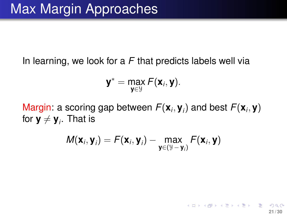In learning, we look for a *F* that predicts labels well via

$$
\mathbf{y}^* = \max_{\mathbf{y} \in \mathcal{Y}} F(\mathbf{x}_i, \mathbf{y}).
$$

Margin: a scoring gap between  $F(\mathbf{x}_i, \mathbf{y}_i)$  and best  $F(\mathbf{x}_i, \mathbf{y})$ for  $\mathbf{y} \neq \mathbf{y}_i$ . That is

$$
M(\mathbf{x}_i, \mathbf{y}_i) = F(\mathbf{x}_i, \mathbf{y}_i) - \max_{\mathbf{y} \in (\mathcal{Y} - \mathbf{y}_i)} F(\mathbf{x}_i, \mathbf{y})
$$

**21 / 30**

K ロ ▶ K 御 ▶ K 君 ▶ K 君 ▶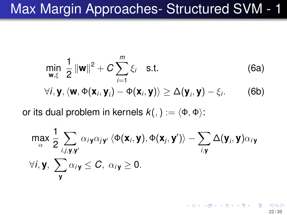### Max Margin Approaches- Structured SVM - 1

$$
\min_{\mathbf{w},\xi} \frac{1}{2} ||\mathbf{w}||^2 + C \sum_{i=1}^m \xi_i \quad \text{s.t.} \tag{6a}
$$
\n
$$
\forall i, \mathbf{y}, \langle \mathbf{w}, \Phi(\mathbf{x}_i, \mathbf{y}_i) - \Phi(\mathbf{x}_i, \mathbf{y}) \rangle \ge \Delta(\mathbf{y}_i, \mathbf{y}) - \xi_i. \tag{6b}
$$

or its dual problem in kernels  $k(,) := \langle \Phi, \Phi \rangle$ :

$$
\max_{\alpha} \frac{1}{2} \sum_{i,j,\mathbf{y},\mathbf{y}'} \alpha_{i\mathbf{y}} \alpha_{j\mathbf{y}'} \langle \Phi(\mathbf{x}_i,\mathbf{y}), \Phi(\mathbf{x}_j,\mathbf{y}') \rangle - \sum_{i,\mathbf{y}} \Delta(\mathbf{y}_i,\mathbf{y}) \alpha_{i\mathbf{y}} \forall i,\mathbf{y}, \sum_{\mathbf{y}} \alpha_{i\mathbf{y}} \leq C, \alpha_{i\mathbf{y}} \geq 0.
$$

**22 / 30**

<span id="page-21-0"></span>K ロ ▶ K 個 ▶ K 君 ▶ K 君 ▶ ○ 君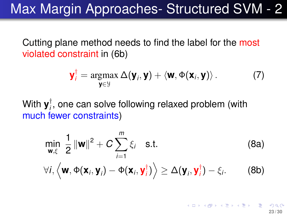### Max Margin Approaches- Structured SVM - 2

Cutting plane method needs to find the label for the most violated constraint in [\(6b\)](#page-21-0)

$$
\mathbf{y}_i^{\dagger} = \operatorname*{argmax}_{\mathbf{y} \in \mathcal{Y}} \Delta(\mathbf{y}_i, \mathbf{y}) + \langle \mathbf{w}, \Phi(\mathbf{x}_i, \mathbf{y}) \rangle. \tag{7}
$$

With **y** † *i* , one can solve following relaxed problem (with much fewer constraints)

$$
\min_{\mathbf{w},\xi} \frac{1}{2} ||\mathbf{w}||^2 + C \sum_{i=1}^m \xi_i \quad \text{s.t.} \tag{8a}
$$
\n
$$
\forall i, \left\langle \mathbf{w}, \Phi(\mathbf{x}_i, \mathbf{y}_i) - \Phi(\mathbf{x}_i, \mathbf{y}_i^{\dagger}) \right\rangle \ge \Delta(\mathbf{y}_i, \mathbf{y}_i^{\dagger}) - \xi_i. \tag{8b}
$$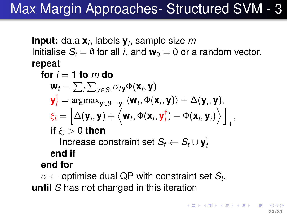# Max Margin Approaches- Structured SVM - 3

**Input:** data **x***<sup>i</sup>* , labels **y***<sup>i</sup>* , sample size *m* Initialise  $S_i = \emptyset$  for all *i*, and  $w_0 = 0$  or a random vector. **repeat**

**for**  $i = 1$  **to**  $m$  **do**  $\mathbf{w}_t = \sum_i \sum_{\mathbf{y} \in \mathcal{S}_i} \alpha_i \mathbf{y} \Phi(\mathbf{x}_i, \mathbf{y})$  $\mathbf{y}_i^{\dagger} = \operatorname*{argmax}_{\mathbf{y} \in \mathcal{Y} - \mathbf{y}_i} \langle \mathbf{w}_t, \Phi(\mathbf{x}_i, \mathbf{y}) \rangle + \Delta(\mathbf{y}_i, \mathbf{y}),$  $\xi_i = \left[\Delta(\mathbf{y}_i, \mathbf{y}) + \left\langle \mathbf{w}_t, \Phi(\mathbf{x}_i, \mathbf{y})\right\rangle\right]$  $\left\langle \mathbf{y}_{i}\right\rangle -\Phi(\mathbf{x}_{i},\mathbf{y}_{i})\Big\rangle \left[ \mathbf{y}_{i}\right]$ + , **if**  $\xi$ <sup>*j*</sup>  $> 0$  **then** Increase constraint set  $S_t \leftarrow S_t \cup \mathbf{y}^{\dagger}_t$ *t* **end if**

#### **end for**

 $\alpha \leftarrow$  optimise dual QP with constraint set  $\mathcal{S}_t.$ **until** *S* has not changed in this iteration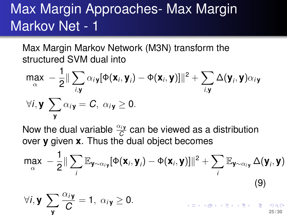# Max Margin Approaches- Max Margin Markov Net - 1

Max Margin Markov Network (M3N) transform the structured SVM dual into

$$
\max_{\alpha} -\frac{1}{2} \|\sum_{i,\mathbf{y}} \alpha_{i\mathbf{y}} [\Phi(\mathbf{x}_{i}, \mathbf{y}_{i}) - \Phi(\mathbf{x}_{i}, \mathbf{y})] \|^{2} + \sum_{i,\mathbf{y}} \Delta(\mathbf{y}_{i}, \mathbf{y}) \alpha_{i\mathbf{y}} \forall i, \mathbf{y} \sum_{\mathbf{y}} \alpha_{i\mathbf{y}} = C, \ \alpha_{i\mathbf{y}} \ge 0.
$$

Now the dual variable  $\frac{\alpha_{iy}}{C}$  can be viewed as a distribution over **y** given **x**. Thus the dual object becomes

$$
\max_{\alpha} -\frac{1}{2} \|\sum_{i} \mathbb{E}_{\mathbf{y}\sim\alpha_{i}\mathbf{y}}[\Phi(\mathbf{x}_{i}, \mathbf{y}_{i}) - \Phi(\mathbf{x}_{i}, \mathbf{y})]\|^{2} + \sum_{i} \mathbb{E}_{\mathbf{y}\sim\alpha_{i}\mathbf{y}} \Delta(\mathbf{y}_{i}, \mathbf{y})
$$
\n
$$
\forall i, \mathbf{y} \sum_{\mathbf{y}} \frac{\alpha_{i}\mathbf{y}}{C} = 1, \ \alpha_{i}\mathbf{y} \ge 0.
$$
\n(9)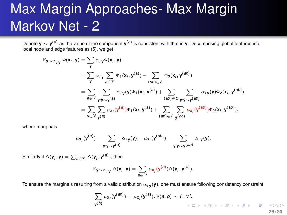# Max Margin Approaches- Max Margin Markov Net - 2

Denote **y** ∼ **y**<sup>(a)</sup> as the value of the component **y**<sup>(a)</sup> is consistent with that in **y**. Decomposing global features into local node and edge features as [\(5\)](#page-15-0), we get

$$
\mathbb{E}_{\mathbf{y}\sim\alpha_{\hat{i}}\mathbf{y}}\Phi(\mathbf{x}_{\hat{i}},\mathbf{y}) = \sum_{\mathbf{y}}\alpha_{\hat{i}}\mathbf{y}\Phi(\mathbf{x}_{\hat{i}},\mathbf{y})
$$
\n
$$
= \sum_{\mathbf{y}}\alpha_{\hat{i}}\mathbf{y}\sum_{a\in\mathcal{V}}\Phi_{1}(\mathbf{x}_{\hat{i}},\mathbf{y}^{(a)}) + \sum_{(ab)\in\mathcal{E}}\Phi_{2}(\mathbf{x}_{\hat{i}},\mathbf{y}^{(ab)})
$$
\n
$$
= \sum_{a\in\mathcal{V}}\sum_{\mathbf{y},\mathbf{y}\sim\mathbf{y}^{(a)}}\alpha_{\hat{i}}\mathbf{y}(\mathbf{y})\Phi_{1}(\mathbf{x}_{\hat{i}},\mathbf{y}^{(a)}) + \sum_{(ab)\in\mathcal{E}}\sum_{\mathbf{y},\mathbf{y}\sim\mathbf{y}^{(ab)}}\alpha_{\hat{i}}\mathbf{y}(\mathbf{y})\Phi_{2}(\mathbf{x}_{\hat{i}},\mathbf{y}^{(ab)})
$$
\n
$$
= \sum_{a\in\mathcal{V}}\sum_{\mathbf{y}^{(a)}}\mu_{\mathbf{x}_{\hat{i}}}(\mathbf{y}^{(a)})\Phi_{1}(\mathbf{x}_{\hat{i}},\mathbf{y}^{(a)}) + \sum_{(ab)\in\mathcal{E}}\sum_{\mathbf{y}^{(ab)}}\mu_{\mathbf{x}_{\hat{i}}}(\mathbf{y}^{(ab)})\Phi_{2}(\mathbf{x}_{\hat{i}},\mathbf{y}^{(ab)}),
$$

where marginals

$$
\mu_{\mathbf{x}_j}(\mathbf{y}^{(a)}) = \sum_{\mathbf{y} \cdot \mathbf{y} \sim \mathbf{y}^{(a)}} \alpha_{i\mathbf{y}}(\mathbf{y}), \quad \mu_{\mathbf{x}_j}(\mathbf{y}^{(ab)}) = \sum_{\mathbf{y} \cdot \mathbf{y} \sim \mathbf{y}^{(ab)}} \alpha_{i\mathbf{y}}(\mathbf{y}).
$$

Similarly if  $\Delta(\mathbf{y}_i, \mathbf{y}) = \sum_{a \in \mathcal{V}} \Delta(\mathbf{y}_i, \mathbf{y}^{(a)})$ , then

$$
\mathbb{E}_{\mathbf{y}\sim\alpha_j\mathbf{y}}\Delta(\mathbf{y}_i,\mathbf{y})=\sum_{a\in\mathcal{V}}\mu_{\mathbf{x}_j}(\mathbf{y}^{(a)})\Delta(\mathbf{y}_i,\mathbf{y}^{(a)}).
$$

To ensure the marginals resulting from a valid distribution α*<sup>i</sup>* **<sup>y</sup>** (**y**), one must ensure following consistency constraint

$$
\sum_{\mathbf{y}(b)} \mu_{\mathbf{x}_j}(\mathbf{y}^{(ab)}) = \mu_{\mathbf{x}_j}(\mathbf{y}^{(a)}), \forall (a, b) \sim \mathcal{E}, \forall i.
$$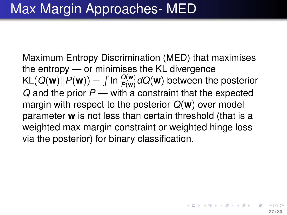Maximum Entropy Discrimination (MED) that maximises the entropy — or minimises the KL divergence  $\mathsf{KL}( \mathit{Q}(\mathbf{w}) || P(\mathbf{w})) = \int \ln \frac{Q(\mathbf{w})}{P(\mathbf{w})} dQ(\mathbf{w})$  between the posterior *Q* and the prior *P* — with a constraint that the expected margin with respect to the posterior *Q*(**w**) over model parameter **w** is not less than certain threshold (that is a weighted max margin constraint or weighted hinge loss via the posterior) for binary classification.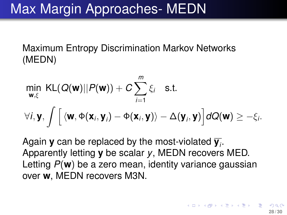# Max Margin Approaches- MEDN

#### Maximum Entropy Discrimination Markov Networks (MEDN)

$$
\min_{\mathbf{w},\xi} \text{KL}(Q(\mathbf{w})||P(\mathbf{w})) + C \sum_{i=1}^{m} \xi_i \quad \text{s.t.}
$$
\n
$$
\forall i, \mathbf{y}, \int \left[ \langle \mathbf{w}, \Phi(\mathbf{x}_i, \mathbf{y}_i) - \Phi(\mathbf{x}_i, \mathbf{y}) \rangle - \Delta(\mathbf{y}_i, \mathbf{y}) \right] dQ(\mathbf{w}) \ge -\xi_i.
$$

Again **y** can be replaced by the most-violated **y***<sup>i</sup>* . Apparently letting **y** be scalar *y*, MEDN recovers MED. Letting *P*(**w**) be a zero mean, identity variance gaussian over **w**, MEDN recovers M3N.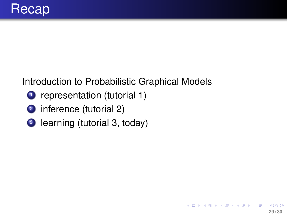#### Introduction to Probabilistic Graphical Models

- **1** representation (tutorial 1)
- **<sup>2</sup>** inference (tutorial 2)
- **3** learning (tutorial 3, today)